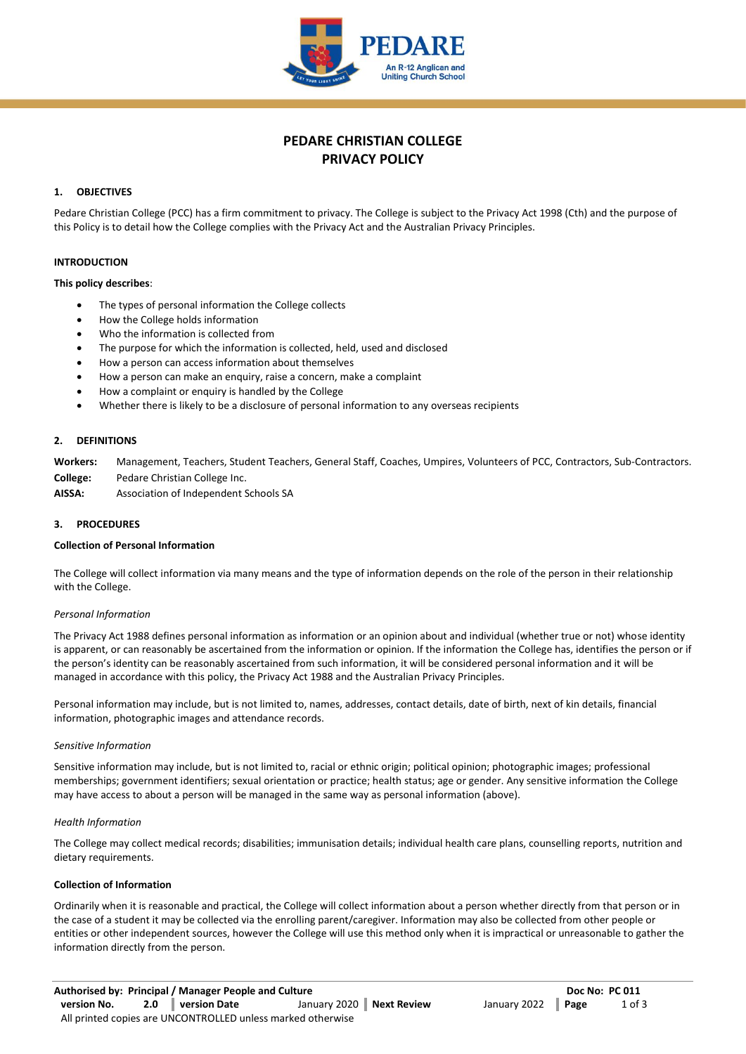

# **PEDARE CHRISTIAN COLLEGE PRIVACY POLICY**

# **1. OBJECTIVES**

Pedare Christian College (PCC) has a firm commitment to privacy. The College is subject to the Privacy Act 1998 (Cth) and the purpose of this Policy is to detail how the College complies with the Privacy Act and the Australian Privacy Principles.

# **INTRODUCTION**

#### **This policy describes**:

- The types of personal information the College collects
- How the College holds information
- Who the information is collected from
- The purpose for which the information is collected, held, used and disclosed
- How a person can access information about themselves
- How a person can make an enquiry, raise a concern, make a complaint
- How a complaint or enquiry is handled by the College
- Whether there is likely to be a disclosure of personal information to any overseas recipients

# **2. DEFINITIONS**

**Workers:** Management, Teachers, Student Teachers, General Staff, Coaches, Umpires, Volunteers of PCC, Contractors, Sub-Contractors. **College:** Pedare Christian College Inc.

**AISSA:** Association of Independent Schools SA

#### **3. PROCEDURES**

#### **Collection of Personal Information**

The College will collect information via many means and the type of information depends on the role of the person in their relationship with the College.

# *Personal Information*

The Privacy Act 1988 defines personal information as information or an opinion about and individual (whether true or not) whose identity is apparent, or can reasonably be ascertained from the information or opinion. If the information the College has, identifies the person or if the person's identity can be reasonably ascertained from such information, it will be considered personal information and it will be managed in accordance with this policy, the Privacy Act 1988 and the Australian Privacy Principles.

Personal information may include, but is not limited to, names, addresses, contact details, date of birth, next of kin details, financial information, photographic images and attendance records.

# *Sensitive Information*

Sensitive information may include, but is not limited to, racial or ethnic origin; political opinion; photographic images; professional memberships; government identifiers; sexual orientation or practice; health status; age or gender. Any sensitive information the College may have access to about a person will be managed in the same way as personal information (above).

#### *Health Information*

The College may collect medical records; disabilities; immunisation details; individual health care plans, counselling reports, nutrition and dietary requirements.

# **Collection of Information**

Ordinarily when it is reasonable and practical, the College will collect information about a person whether directly from that person or in the case of a student it may be collected via the enrolling parent/caregiver. Information may also be collected from other people or entities or other independent sources, however the College will use this method only when it is impractical or unreasonable to gather the information directly from the person.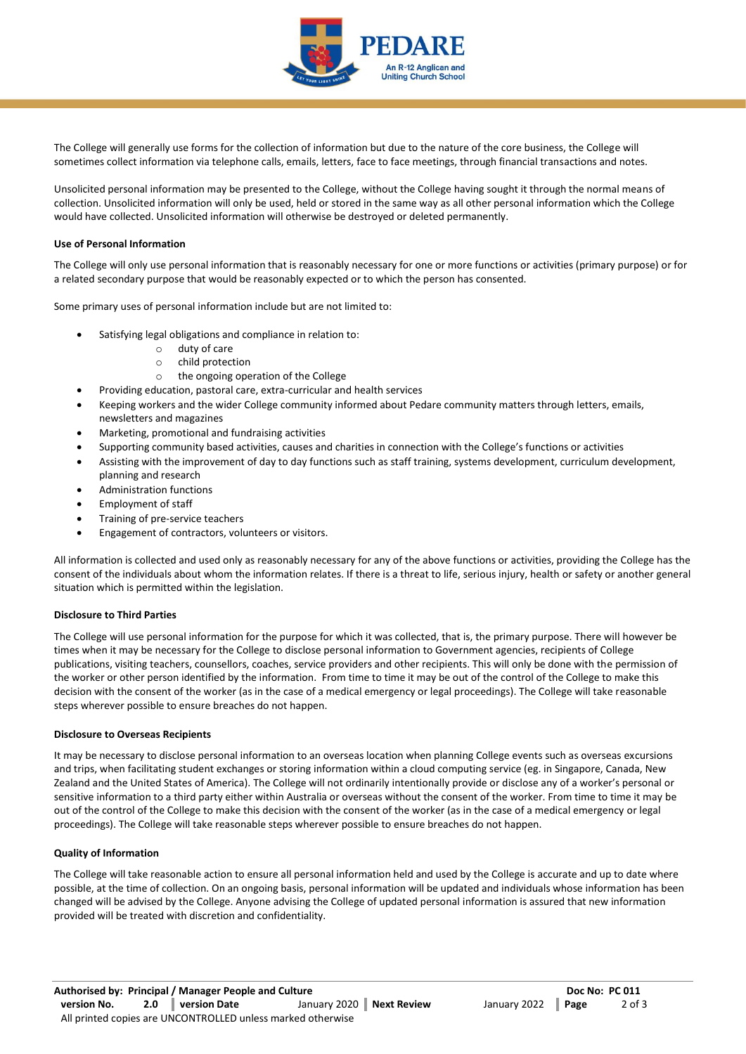

The College will generally use forms for the collection of information but due to the nature of the core business, the College will sometimes collect information via telephone calls, emails, letters, face to face meetings, through financial transactions and notes.

Unsolicited personal information may be presented to the College, without the College having sought it through the normal means of collection. Unsolicited information will only be used, held or stored in the same way as all other personal information which the College would have collected. Unsolicited information will otherwise be destroyed or deleted permanently.

# **Use of Personal Information**

The College will only use personal information that is reasonably necessary for one or more functions or activities (primary purpose) or for a related secondary purpose that would be reasonably expected or to which the person has consented.

Some primary uses of personal information include but are not limited to:

- Satisfying legal obligations and compliance in relation to:
	- o duty of care
	- o child protection
	- o the ongoing operation of the College
	- Providing education, pastoral care, extra-curricular and health services
- Keeping workers and the wider College community informed about Pedare community matters through letters, emails, newsletters and magazines
- Marketing, promotional and fundraising activities
- Supporting community based activities, causes and charities in connection with the College's functions or activities
- Assisting with the improvement of day to day functions such as staff training, systems development, curriculum development, planning and research
- Administration functions
- Employment of staff
- Training of pre-service teachers
- Engagement of contractors, volunteers or visitors.

All information is collected and used only as reasonably necessary for any of the above functions or activities, providing the College has the consent of the individuals about whom the information relates. If there is a threat to life, serious injury, health or safety or another general situation which is permitted within the legislation.

# **Disclosure to Third Parties**

The College will use personal information for the purpose for which it was collected, that is, the primary purpose. There will however be times when it may be necessary for the College to disclose personal information to Government agencies, recipients of College publications, visiting teachers, counsellors, coaches, service providers and other recipients. This will only be done with the permission of the worker or other person identified by the information. From time to time it may be out of the control of the College to make this decision with the consent of the worker (as in the case of a medical emergency or legal proceedings). The College will take reasonable steps wherever possible to ensure breaches do not happen.

#### **Disclosure to Overseas Recipients**

It may be necessary to disclose personal information to an overseas location when planning College events such as overseas excursions and trips, when facilitating student exchanges or storing information within a cloud computing service (eg. in Singapore, Canada, New Zealand and the United States of America). The College will not ordinarily intentionally provide or disclose any of a worker's personal or sensitive information to a third party either within Australia or overseas without the consent of the worker. From time to time it may be out of the control of the College to make this decision with the consent of the worker (as in the case of a medical emergency or legal proceedings). The College will take reasonable steps wherever possible to ensure breaches do not happen.

#### **Quality of Information**

The College will take reasonable action to ensure all personal information held and used by the College is accurate and up to date where possible, at the time of collection. On an ongoing basis, personal information will be updated and individuals whose information has been changed will be advised by the College. Anyone advising the College of updated personal information is assured that new information provided will be treated with discretion and confidentiality.